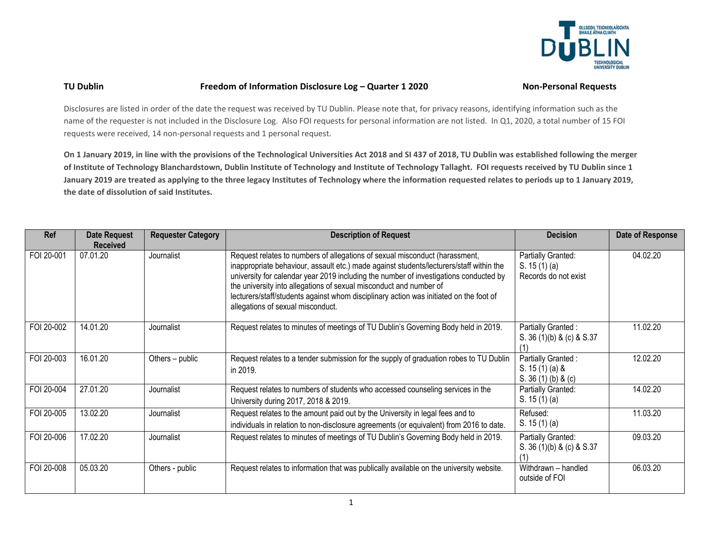

### **TU Dublin Freedom of Information Disclosure Log – Quarter 1 2020 Non-Personal Requests**

Disclosures are listed in order of the date the request was received by TU Dublin. Please note that, for privacy reasons, identifying information such as the name of the requester is not included in the Disclosure Log. Also FOI requests for personal information are not listed. In Q1, 2020, a total number of 15 FOI requests were received, 14 non-personal requests and 1 personal request.

**On 1 January 2019, in line with the provisions of the Technological Universities Act 2018 and SI 437 of 2018, TU Dublin was established following the merger of Institute of Technology Blanchardstown, Dublin Institute of Technology and Institute of Technology Tallaght. FOI requests received by TU Dublin since 1 January 2019 are treated as applying to the three legacy Institutes of Technology where the information requested relates to periods up to 1 January 2019, the date of dissolution of said Institutes.**

| <b>Ref</b> | <b>Date Request</b><br><b>Received</b> | <b>Requester Category</b> | <b>Description of Request</b>                                                                                                                                                                                                                                                                                                                                                                                                                                        | <b>Decision</b>                                              | Date of Response |
|------------|----------------------------------------|---------------------------|----------------------------------------------------------------------------------------------------------------------------------------------------------------------------------------------------------------------------------------------------------------------------------------------------------------------------------------------------------------------------------------------------------------------------------------------------------------------|--------------------------------------------------------------|------------------|
| FOI 20-001 | 07.01.20                               | Journalist                | Request relates to numbers of allegations of sexual misconduct (harassment,<br>inappropriate behaviour, assault etc.) made against students/lecturers/staff within the<br>university for calendar year 2019 including the number of investigations conducted by<br>the university into allegations of sexual misconduct and number of<br>lecturers/staff/students against whom disciplinary action was initiated on the foot of<br>allegations of sexual misconduct. | Partially Granted:<br>S. $15(1)(a)$<br>Records do not exist  | 04.02.20         |
| FOI 20-002 | 14.01.20                               | Journalist                | Request relates to minutes of meetings of TU Dublin's Governing Body held in 2019.                                                                                                                                                                                                                                                                                                                                                                                   | Partially Granted:<br>S. 36 (1)(b) & (c) & S.37              | 11.02.20         |
| FOI 20-003 | 16.01.20                               | Others - public           | Request relates to a tender submission for the supply of graduation robes to TU Dublin<br>in 2019.                                                                                                                                                                                                                                                                                                                                                                   | Partially Granted:<br>S. $15(1)(a)$ &<br>S. $36(1)(b)$ & (c) | 12.02.20         |
| FOI 20-004 | 27.01.20                               | Journalist                | Request relates to numbers of students who accessed counseling services in the<br>University during 2017, 2018 & 2019.                                                                                                                                                                                                                                                                                                                                               | Partially Granted:<br>S. $15(1)(a)$                          | 14.02.20         |
| FOI 20-005 | 13.02.20                               | Journalist                | Request relates to the amount paid out by the University in legal fees and to<br>individuals in relation to non-disclosure agreements (or equivalent) from 2016 to date.                                                                                                                                                                                                                                                                                             | Refused:<br>S. $15(1)(a)$                                    | 11.03.20         |
| FOI 20-006 | 17.02.20                               | Journalist                | Request relates to minutes of meetings of TU Dublin's Governing Body held in 2019.                                                                                                                                                                                                                                                                                                                                                                                   | Partially Granted:<br>S. 36 (1)(b) & (c) & S.37              | 09.03.20         |
| FOI 20-008 | 05.03.20                               | Others - public           | Request relates to information that was publically available on the university website.                                                                                                                                                                                                                                                                                                                                                                              | Withdrawn - handled<br>outside of FOI                        | 06.03.20         |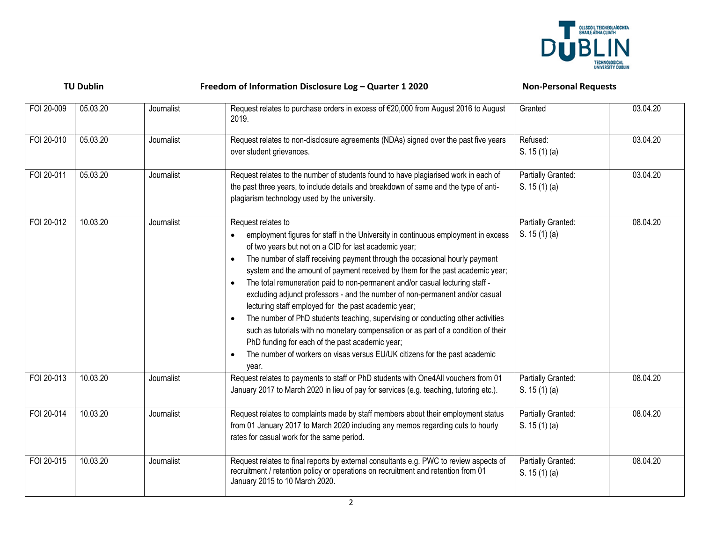

# **TU Dublin Freedom of Information Disclosure Log – Quarter 1 2020 Non-Personal Requests**

| FOI 20-009 | 05.03.20 | Journalist | Request relates to purchase orders in excess of €20,000 from August 2016 to August<br>2019.                                                | Granted            | 03.04.20 |
|------------|----------|------------|--------------------------------------------------------------------------------------------------------------------------------------------|--------------------|----------|
| FOI 20-010 | 05.03.20 | Journalist | Request relates to non-disclosure agreements (NDAs) signed over the past five years                                                        | Refused:           | 03.04.20 |
|            |          |            | over student grievances.                                                                                                                   | S. $15(1)(a)$      |          |
| FOI 20-011 | 05.03.20 | Journalist | Request relates to the number of students found to have plagiarised work in each of                                                        | Partially Granted: | 03.04.20 |
|            |          |            | the past three years, to include details and breakdown of same and the type of anti-                                                       | S. $15(1)(a)$      |          |
|            |          |            | plagiarism technology used by the university.                                                                                              |                    |          |
| FOI 20-012 | 10.03.20 | Journalist | Request relates to                                                                                                                         | Partially Granted: | 08.04.20 |
|            |          |            | employment figures for staff in the University in continuous employment in excess<br>of two years but not on a CID for last academic year; | S. $15(1)(a)$      |          |
|            |          |            | The number of staff receiving payment through the occasional hourly payment<br>$\bullet$                                                   |                    |          |
|            |          |            | system and the amount of payment received by them for the past academic year;                                                              |                    |          |
|            |          |            | The total remuneration paid to non-permanent and/or casual lecturing staff -<br>$\bullet$                                                  |                    |          |
|            |          |            | excluding adjunct professors - and the number of non-permanent and/or casual                                                               |                    |          |
|            |          |            | lecturing staff employed for the past academic year;                                                                                       |                    |          |
|            |          |            | The number of PhD students teaching, supervising or conducting other activities<br>$\bullet$                                               |                    |          |
|            |          |            | such as tutorials with no monetary compensation or as part of a condition of their                                                         |                    |          |
|            |          |            | PhD funding for each of the past academic year;                                                                                            |                    |          |
|            |          |            | The number of workers on visas versus EU/UK citizens for the past academic<br>year.                                                        |                    |          |
| FOI 20-013 | 10.03.20 | Journalist | Request relates to payments to staff or PhD students with One4All vouchers from 01                                                         | Partially Granted: | 08.04.20 |
|            |          |            | January 2017 to March 2020 in lieu of pay for services (e.g. teaching, tutoring etc.).                                                     | S. $15(1)(a)$      |          |
| FOI 20-014 | 10.03.20 | Journalist | Request relates to complaints made by staff members about their employment status                                                          | Partially Granted: | 08.04.20 |
|            |          |            | from 01 January 2017 to March 2020 including any memos regarding cuts to hourly                                                            | S. $15(1)(a)$      |          |
|            |          |            | rates for casual work for the same period.                                                                                                 |                    |          |
| FOI 20-015 | 10.03.20 | Journalist | Request relates to final reports by external consultants e.g. PWC to review aspects of                                                     | Partially Granted: | 08.04.20 |
|            |          |            | recruitment / retention policy or operations on recruitment and retention from 01<br>January 2015 to 10 March 2020.                        | S. $15(1)(a)$      |          |